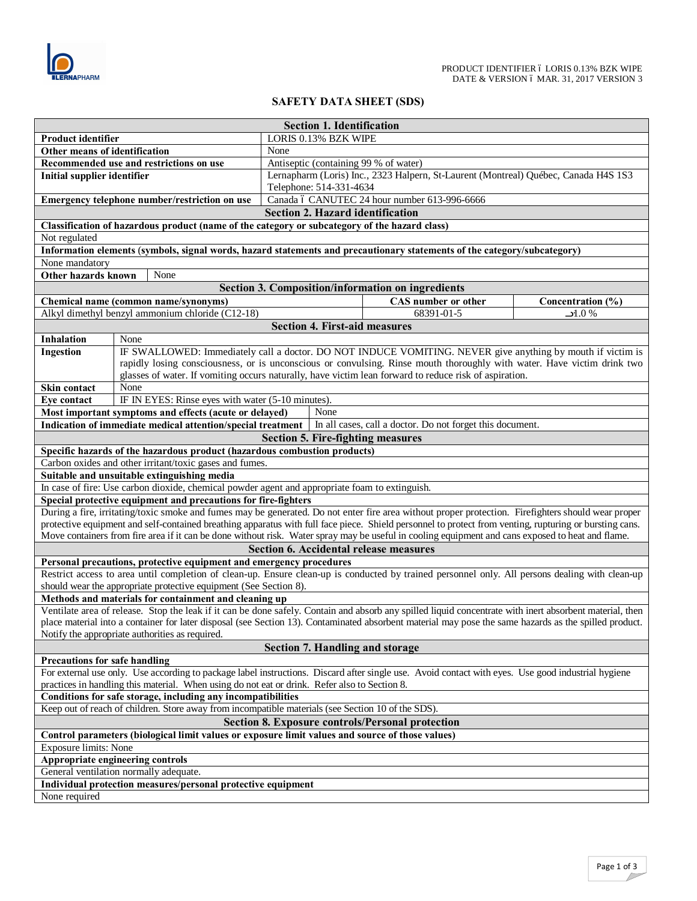

## **SAFETY DATA SHEET (SDS)**

| <b>Section 1. Identification</b>                                                                                                                                                                          |                                                                                                                                                         |                                                                                     |                                                           |  |                   |  |
|-----------------------------------------------------------------------------------------------------------------------------------------------------------------------------------------------------------|---------------------------------------------------------------------------------------------------------------------------------------------------------|-------------------------------------------------------------------------------------|-----------------------------------------------------------|--|-------------------|--|
| Product identifier                                                                                                                                                                                        |                                                                                                                                                         | LORIS 0.13% BZK WIPE                                                                |                                                           |  |                   |  |
| Other means of identification                                                                                                                                                                             |                                                                                                                                                         | None                                                                                |                                                           |  |                   |  |
| Recommended use and restrictions on use                                                                                                                                                                   |                                                                                                                                                         | Antiseptic (containing 99 % of water)                                               |                                                           |  |                   |  |
| <b>Initial supplier identifier</b>                                                                                                                                                                        |                                                                                                                                                         | Lernapharm (Loris) Inc., 2323 Halpern, St-Laurent (Montreal) Québec, Canada H4S 1S3 |                                                           |  |                   |  |
| Emergency telephone number/restriction on use                                                                                                                                                             |                                                                                                                                                         | Telephone: 514-331-4634<br>Canada ó CANUTEC 24 hour number 613-996-6666             |                                                           |  |                   |  |
|                                                                                                                                                                                                           |                                                                                                                                                         | <b>Section 2. Hazard identification</b>                                             |                                                           |  |                   |  |
|                                                                                                                                                                                                           | Classification of hazardous product (name of the category or subcategory of the hazard class)                                                           |                                                                                     |                                                           |  |                   |  |
| Not regulated                                                                                                                                                                                             |                                                                                                                                                         |                                                                                     |                                                           |  |                   |  |
|                                                                                                                                                                                                           | Information elements (symbols, signal words, hazard statements and precautionary statements of the category/subcategory)                                |                                                                                     |                                                           |  |                   |  |
| None mandatory                                                                                                                                                                                            |                                                                                                                                                         |                                                                                     |                                                           |  |                   |  |
| Other hazards known                                                                                                                                                                                       | None                                                                                                                                                    |                                                                                     |                                                           |  |                   |  |
|                                                                                                                                                                                                           |                                                                                                                                                         |                                                                                     | <b>Section 3. Composition/information on ingredients</b>  |  |                   |  |
|                                                                                                                                                                                                           | Chemical name (common name/synonyms)                                                                                                                    |                                                                                     | CAS number or other                                       |  | Concentration (%) |  |
|                                                                                                                                                                                                           | Alkyl dimethyl benzyl ammonium chloride (C12-18)                                                                                                        |                                                                                     | 68391-01-5                                                |  | 1.0%              |  |
|                                                                                                                                                                                                           |                                                                                                                                                         | <b>Section 4. First-aid measures</b>                                                |                                                           |  |                   |  |
| <b>Inhalation</b>                                                                                                                                                                                         | None                                                                                                                                                    |                                                                                     |                                                           |  |                   |  |
| Ingestion                                                                                                                                                                                                 | IF SWALLOWED: Immediately call a doctor. DO NOT INDUCE VOMITING. NEVER give anything by mouth if victim is                                              |                                                                                     |                                                           |  |                   |  |
|                                                                                                                                                                                                           | rapidly losing consciousness, or is unconscious or convulsing. Rinse mouth thoroughly with water. Have victim drink two                                 |                                                                                     |                                                           |  |                   |  |
|                                                                                                                                                                                                           | glasses of water. If vomiting occurs naturally, have victim lean forward to reduce risk of aspiration.                                                  |                                                                                     |                                                           |  |                   |  |
| Skin contact                                                                                                                                                                                              | None                                                                                                                                                    |                                                                                     |                                                           |  |                   |  |
| Eye contact                                                                                                                                                                                               | IF IN EYES: Rinse eyes with water (5-10 minutes).                                                                                                       |                                                                                     |                                                           |  |                   |  |
|                                                                                                                                                                                                           | Most important symptoms and effects (acute or delayed)                                                                                                  | None                                                                                |                                                           |  |                   |  |
|                                                                                                                                                                                                           | Indication of immediate medical attention/special treatment                                                                                             |                                                                                     | In all cases, call a doctor. Do not forget this document. |  |                   |  |
|                                                                                                                                                                                                           |                                                                                                                                                         |                                                                                     | <b>Section 5. Fire-fighting measures</b>                  |  |                   |  |
|                                                                                                                                                                                                           | Specific hazards of the hazardous product (hazardous combustion products)                                                                               |                                                                                     |                                                           |  |                   |  |
|                                                                                                                                                                                                           | Carbon oxides and other irritant/toxic gases and fumes.<br>Suitable and unsuitable extinguishing media                                                  |                                                                                     |                                                           |  |                   |  |
|                                                                                                                                                                                                           | In case of fire: Use carbon dioxide, chemical powder agent and appropriate foam to extinguish.                                                          |                                                                                     |                                                           |  |                   |  |
|                                                                                                                                                                                                           | Special protective equipment and precautions for fire-fighters                                                                                          |                                                                                     |                                                           |  |                   |  |
|                                                                                                                                                                                                           | During a fire, irritating/toxic smoke and fumes may be generated. Do not enter fire area without proper protection. Firefighters should wear proper     |                                                                                     |                                                           |  |                   |  |
|                                                                                                                                                                                                           | protective equipment and self-contained breathing apparatus with full face piece. Shield personnel to protect from venting, rupturing or bursting cans. |                                                                                     |                                                           |  |                   |  |
|                                                                                                                                                                                                           | Move containers from fire area if it can be done without risk. Water spray may be useful in cooling equipment and cans exposed to heat and flame.       |                                                                                     |                                                           |  |                   |  |
| Section 6. Accidental release measures                                                                                                                                                                    |                                                                                                                                                         |                                                                                     |                                                           |  |                   |  |
|                                                                                                                                                                                                           | Personal precautions, protective equipment and emergency procedures                                                                                     |                                                                                     |                                                           |  |                   |  |
|                                                                                                                                                                                                           | Restrict access to area until completion of clean-up. Ensure clean-up is conducted by trained personnel only. All persons dealing with clean-up         |                                                                                     |                                                           |  |                   |  |
| should wear the appropriate protective equipment (See Section 8).                                                                                                                                         |                                                                                                                                                         |                                                                                     |                                                           |  |                   |  |
| Methods and materials for containment and cleaning up                                                                                                                                                     |                                                                                                                                                         |                                                                                     |                                                           |  |                   |  |
| Ventilate area of release. Stop the leak if it can be done safely. Contain and absorb any spilled liquid concentrate with inert absorbent material, then                                                  |                                                                                                                                                         |                                                                                     |                                                           |  |                   |  |
| place material into a container for later disposal (see Section 13). Contaminated absorbent material may pose the same hazards as the spilled product.<br>Notify the appropriate authorities as required. |                                                                                                                                                         |                                                                                     |                                                           |  |                   |  |
| <b>Section 7. Handling and storage</b>                                                                                                                                                                    |                                                                                                                                                         |                                                                                     |                                                           |  |                   |  |
| <b>Precautions for safe handling</b>                                                                                                                                                                      |                                                                                                                                                         |                                                                                     |                                                           |  |                   |  |
| For external use only. Use according to package label instructions. Discard after single use. Avoid contact with eyes. Use good industrial hygiene                                                        |                                                                                                                                                         |                                                                                     |                                                           |  |                   |  |
| practices in handling this material. When using do not eat or drink. Refer also to Section 8.                                                                                                             |                                                                                                                                                         |                                                                                     |                                                           |  |                   |  |
| Conditions for safe storage, including any incompatibilities                                                                                                                                              |                                                                                                                                                         |                                                                                     |                                                           |  |                   |  |
| Keep out of reach of children. Store away from incompatible materials (see Section 10 of the SDS).                                                                                                        |                                                                                                                                                         |                                                                                     |                                                           |  |                   |  |
| Section 8. Exposure controls/Personal protection                                                                                                                                                          |                                                                                                                                                         |                                                                                     |                                                           |  |                   |  |
| Control parameters (biological limit values or exposure limit values and source of those values)                                                                                                          |                                                                                                                                                         |                                                                                     |                                                           |  |                   |  |
| Exposure limits: None                                                                                                                                                                                     |                                                                                                                                                         |                                                                                     |                                                           |  |                   |  |
| Appropriate engineering controls                                                                                                                                                                          |                                                                                                                                                         |                                                                                     |                                                           |  |                   |  |
| General ventilation normally adequate.                                                                                                                                                                    |                                                                                                                                                         |                                                                                     |                                                           |  |                   |  |
| Individual protection measures/personal protective equipment                                                                                                                                              |                                                                                                                                                         |                                                                                     |                                                           |  |                   |  |
| None required                                                                                                                                                                                             |                                                                                                                                                         |                                                                                     |                                                           |  |                   |  |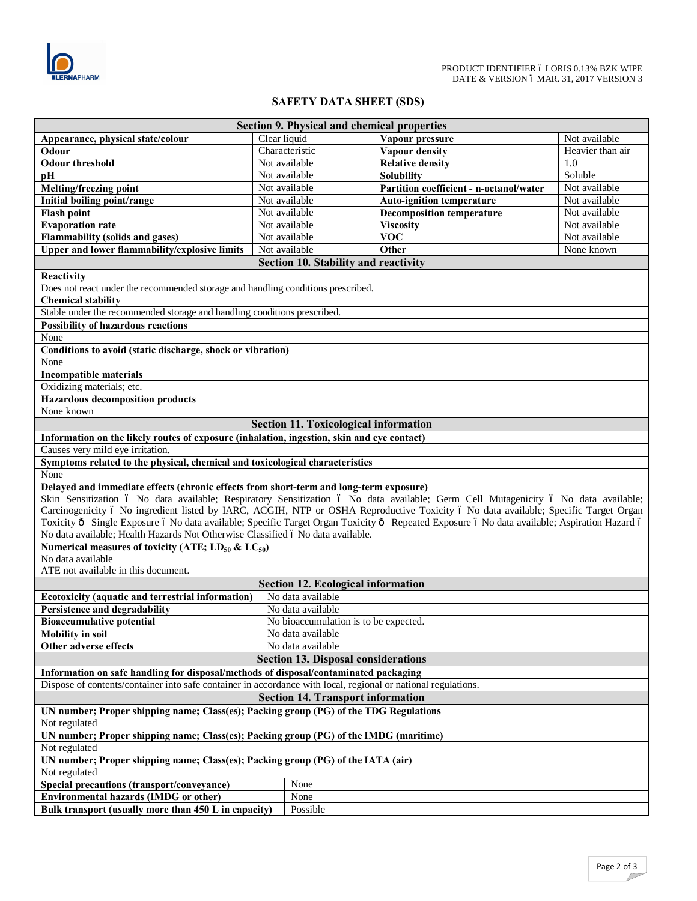

## **SAFETY DATA SHEET (SDS)**

| <b>Section 9. Physical and chemical properties</b>                                                                                          |              |                                              |                                         |                  |  |  |  |
|---------------------------------------------------------------------------------------------------------------------------------------------|--------------|----------------------------------------------|-----------------------------------------|------------------|--|--|--|
| Appearance, physical state/colour                                                                                                           | Clear liquid |                                              | Vapour pressure                         | Not available    |  |  |  |
| Odour                                                                                                                                       |              | Characteristic                               | Vapour density                          | Heavier than air |  |  |  |
| <b>Odour threshold</b>                                                                                                                      |              | Not available                                | <b>Relative density</b>                 | 1.0              |  |  |  |
| pH                                                                                                                                          |              | Not available                                | <b>Solubility</b>                       | Soluble          |  |  |  |
| Melting/freezing point                                                                                                                      |              | Not available                                | Partition coefficient - n-octanol/water | Not available    |  |  |  |
| Initial boiling point/range                                                                                                                 |              | Not available                                | <b>Auto-ignition temperature</b>        | Not available    |  |  |  |
| <b>Flash point</b>                                                                                                                          |              | Not available                                | <b>Decomposition temperature</b>        | Not available    |  |  |  |
| <b>Evaporation rate</b>                                                                                                                     |              | Not available                                | <b>Viscosity</b>                        | Not available    |  |  |  |
| <b>Flammability (solids and gases)</b>                                                                                                      |              | Not available                                | <b>VOC</b>                              | Not available    |  |  |  |
| Upper and lower flammability/explosive limits                                                                                               |              | Not available                                | Other                                   | None known       |  |  |  |
|                                                                                                                                             |              |                                              |                                         |                  |  |  |  |
| Section 10. Stability and reactivity                                                                                                        |              |                                              |                                         |                  |  |  |  |
| Reactivity                                                                                                                                  |              |                                              |                                         |                  |  |  |  |
| Does not react under the recommended storage and handling conditions prescribed.                                                            |              |                                              |                                         |                  |  |  |  |
| <b>Chemical stability</b>                                                                                                                   |              |                                              |                                         |                  |  |  |  |
| Stable under the recommended storage and handling conditions prescribed.                                                                    |              |                                              |                                         |                  |  |  |  |
| <b>Possibility of hazardous reactions</b>                                                                                                   |              |                                              |                                         |                  |  |  |  |
| None                                                                                                                                        |              |                                              |                                         |                  |  |  |  |
| Conditions to avoid (static discharge, shock or vibration)                                                                                  |              |                                              |                                         |                  |  |  |  |
| None                                                                                                                                        |              |                                              |                                         |                  |  |  |  |
| <b>Incompatible materials</b>                                                                                                               |              |                                              |                                         |                  |  |  |  |
| Oxidizing materials; etc.                                                                                                                   |              |                                              |                                         |                  |  |  |  |
| <b>Hazardous decomposition products</b>                                                                                                     |              |                                              |                                         |                  |  |  |  |
| None known                                                                                                                                  |              |                                              |                                         |                  |  |  |  |
|                                                                                                                                             |              | <b>Section 11. Toxicological information</b> |                                         |                  |  |  |  |
| Information on the likely routes of exposure (inhalation, ingestion, skin and eye contact)                                                  |              |                                              |                                         |                  |  |  |  |
| Causes very mild eye irritation.                                                                                                            |              |                                              |                                         |                  |  |  |  |
| Symptoms related to the physical, chemical and toxicological characteristics                                                                |              |                                              |                                         |                  |  |  |  |
| None                                                                                                                                        |              |                                              |                                         |                  |  |  |  |
| Delayed and immediate effects (chronic effects from short-term and long-term exposure)                                                      |              |                                              |                                         |                  |  |  |  |
| Skin Sensitization ó No data available; Respiratory Sensitization ó No data available; Germ Cell Mutagenicity ó No data available;          |              |                                              |                                         |                  |  |  |  |
| Carcinogenicity ó No ingredient listed by IARC, ACGIH, NTP or OSHA Reproductive Toxicity ó No data available; Specific Target Organ         |              |                                              |                                         |                  |  |  |  |
| Toxicity ô Single Exposure ó No data available; Specific Target Organ Toxicity ô Repeated Exposure ó No data available; Aspiration Hazard ó |              |                                              |                                         |                  |  |  |  |
| No data available; Health Hazards Not Otherwise Classified ó No data available.                                                             |              |                                              |                                         |                  |  |  |  |
| Numerical measures of toxicity (ATE; $LD_{50}$ & $LC_{50}$ )                                                                                |              |                                              |                                         |                  |  |  |  |
| No data available                                                                                                                           |              |                                              |                                         |                  |  |  |  |
| ATE not available in this document.                                                                                                         |              |                                              |                                         |                  |  |  |  |
|                                                                                                                                             |              |                                              |                                         |                  |  |  |  |
|                                                                                                                                             |              | <b>Section 12. Ecological information</b>    |                                         |                  |  |  |  |
| Ecotoxicity (aquatic and terrestrial information)                                                                                           |              | No data available                            |                                         |                  |  |  |  |
| Persistence and degradability                                                                                                               |              | No data available                            |                                         |                  |  |  |  |
| <b>Bioaccumulative potential</b>                                                                                                            |              | No bioaccumulation is to be expected.        |                                         |                  |  |  |  |
| <b>Mobility</b> in soil                                                                                                                     |              | No data available                            |                                         |                  |  |  |  |
| Other adverse effects                                                                                                                       |              | No data available                            |                                         |                  |  |  |  |
| <b>Section 13. Disposal considerations</b>                                                                                                  |              |                                              |                                         |                  |  |  |  |
| Information on safe handling for disposal/methods of disposal/contaminated packaging                                                        |              |                                              |                                         |                  |  |  |  |
| Dispose of contents/container into safe container in accordance with local, regional or national regulations.                               |              |                                              |                                         |                  |  |  |  |
| <b>Section 14. Transport information</b>                                                                                                    |              |                                              |                                         |                  |  |  |  |
| UN number; Proper shipping name; Class(es); Packing group (PG) of the TDG Regulations                                                       |              |                                              |                                         |                  |  |  |  |
| Not regulated                                                                                                                               |              |                                              |                                         |                  |  |  |  |
| UN number; Proper shipping name; Class(es); Packing group (PG) of the IMDG (maritime)                                                       |              |                                              |                                         |                  |  |  |  |
| Not regulated                                                                                                                               |              |                                              |                                         |                  |  |  |  |
| UN number; Proper shipping name; Class(es); Packing group (PG) of the IATA (air)                                                            |              |                                              |                                         |                  |  |  |  |
| Not regulated                                                                                                                               |              |                                              |                                         |                  |  |  |  |
|                                                                                                                                             |              |                                              |                                         |                  |  |  |  |
| Special precautions (transport/conveyance)                                                                                                  |              | None                                         |                                         |                  |  |  |  |
| Environmental hazards (IMDG or other)                                                                                                       |              | None                                         |                                         |                  |  |  |  |
| Bulk transport (usually more than 450 L in capacity)                                                                                        |              | Possible                                     |                                         |                  |  |  |  |